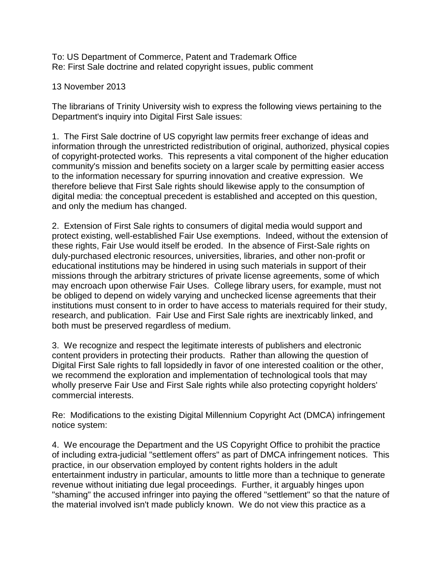To: US Department of Commerce, Patent and Trademark Office Re: First Sale doctrine and related copyright issues, public comment

13 November 2013

The librarians of Trinity University wish to express the following views pertaining to the Department's inquiry into Digital First Sale issues:

1. The First Sale doctrine of US copyright law permits freer exchange of ideas and information through the unrestricted redistribution of original, authorized, physical copies of copyright-protected works. This represents a vital component of the higher education community's mission and benefits society on a larger scale by permitting easier access to the information necessary for spurring innovation and creative expression. We therefore believe that First Sale rights should likewise apply to the consumption of digital media: the conceptual precedent is established and accepted on this question, and only the medium has changed.

2. Extension of First Sale rights to consumers of digital media would support and protect existing, well-established Fair Use exemptions. Indeed, without the extension of these rights, Fair Use would itself be eroded. In the absence of First-Sale rights on duly-purchased electronic resources, universities, libraries, and other non-profit or educational institutions may be hindered in using such materials in support of their missions through the arbitrary strictures of private license agreements, some of which may encroach upon otherwise Fair Uses. College library users, for example, must not be obliged to depend on widely varying and unchecked license agreements that their institutions must consent to in order to have access to materials required for their study, research, and publication. Fair Use and First Sale rights are inextricably linked, and both must be preserved regardless of medium.

3. We recognize and respect the legitimate interests of publishers and electronic content providers in protecting their products. Rather than allowing the question of Digital First Sale rights to fall lopsidedly in favor of one interested coalition or the other, we recommend the exploration and implementation of technological tools that may wholly preserve Fair Use and First Sale rights while also protecting copyright holders' commercial interests.

Re: Modifications to the existing Digital Millennium Copyright Act (DMCA) infringement notice system:

4. We encourage the Department and the US Copyright Office to prohibit the practice of including extra-judicial "settlement offers" as part of DMCA infringement notices. This practice, in our observation employed by content rights holders in the adult entertainment industry in particular, amounts to little more than a technique to generate revenue without initiating due legal proceedings. Further, it arguably hinges upon "shaming" the accused infringer into paying the offered "settlement" so that the nature of the material involved isn't made publicly known. We do not view this practice as a